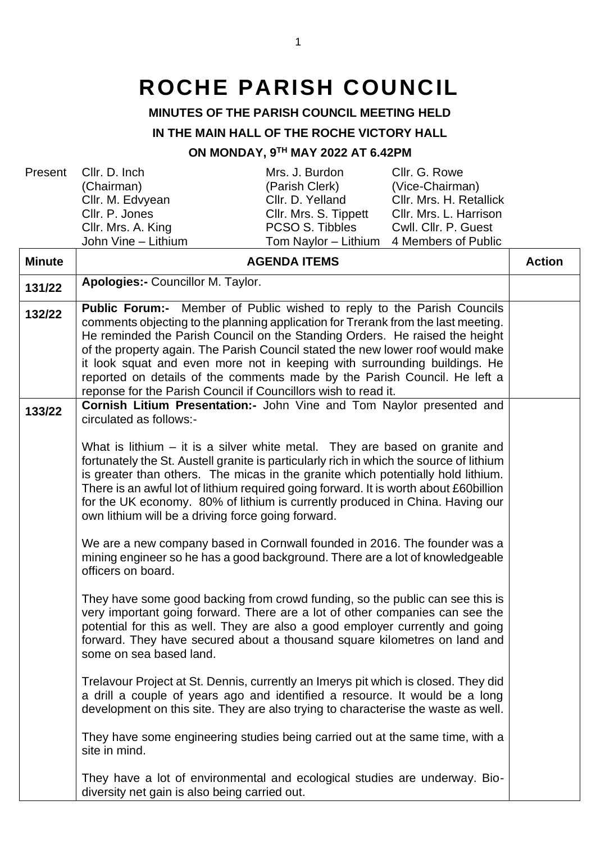## **ROCHE PARISH COUNCIL**

## **MINUTES OF THE PARISH COUNCIL MEETING HELD**

## **IN THE MAIN HALL OF THE ROCHE VICTORY HALL**

## **ON MONDAY, 9 TH MAY 2022 AT 6.42PM**

| Minuto |                       | ACENDA ITEMS                             |                         |  |
|--------|-----------------------|------------------------------------------|-------------------------|--|
|        | John Vine - Lithium   | Tom Naylor – Lithium 4 Members of Public |                         |  |
|        | CIIr. Mrs. A. King    | PCSO S. Tibbles                          | Cwll. Cllr. P. Guest    |  |
|        | Cllr. P. Jones        | Cllr. Mrs. S. Tippett                    | Cllr. Mrs. L. Harrison  |  |
|        | Cllr. M. Edvyean      | Cllr. D. Yelland                         | Cllr. Mrs. H. Retallick |  |
|        | (Chairman)            | (Parish Clerk)                           | (Vice-Chairman)         |  |
|        | Present Cllr. D. Inch | Mrs. J. Burdon                           | Cllr. G. Rowe           |  |

| <b>Minute</b> | <b>AGENDA ITEMS</b>                                                                                                                                                                                                                                                                                                                                                                                                                                                                                                                                             | <b>Action</b> |
|---------------|-----------------------------------------------------------------------------------------------------------------------------------------------------------------------------------------------------------------------------------------------------------------------------------------------------------------------------------------------------------------------------------------------------------------------------------------------------------------------------------------------------------------------------------------------------------------|---------------|
| 131/22        | Apologies:- Councillor M. Taylor.                                                                                                                                                                                                                                                                                                                                                                                                                                                                                                                               |               |
| 132/22        | <b>Public Forum:-</b> Member of Public wished to reply to the Parish Councils<br>comments objecting to the planning application for Trerank from the last meeting.<br>He reminded the Parish Council on the Standing Orders. He raised the height<br>of the property again. The Parish Council stated the new lower roof would make<br>it look squat and even more not in keeping with surrounding buildings. He<br>reported on details of the comments made by the Parish Council. He left a<br>reponse for the Parish Council if Councillors wish to read it. |               |
| 133/22        | Cornish Litium Presentation:- John Vine and Tom Naylor presented and<br>circulated as follows:-                                                                                                                                                                                                                                                                                                                                                                                                                                                                 |               |
|               | What is lithium $-$ it is a silver white metal. They are based on granite and<br>fortunately the St. Austell granite is particularly rich in which the source of lithium<br>is greater than others. The micas in the granite which potentially hold lithium.<br>There is an awful lot of lithium required going forward. It is worth about £60billion<br>for the UK economy. 80% of lithium is currently produced in China. Having our<br>own lithium will be a driving force going forward.                                                                    |               |
|               | We are a new company based in Cornwall founded in 2016. The founder was a<br>mining engineer so he has a good background. There are a lot of knowledgeable<br>officers on board.                                                                                                                                                                                                                                                                                                                                                                                |               |
|               | They have some good backing from crowd funding, so the public can see this is<br>very important going forward. There are a lot of other companies can see the<br>potential for this as well. They are also a good employer currently and going<br>forward. They have secured about a thousand square kilometres on land and<br>some on sea based land.                                                                                                                                                                                                          |               |
|               | Trelavour Project at St. Dennis, currently an Imerys pit which is closed. They did<br>a drill a couple of years ago and identified a resource. It would be a long<br>development on this site. They are also trying to characterise the waste as well.                                                                                                                                                                                                                                                                                                          |               |
|               | They have some engineering studies being carried out at the same time, with a<br>site in mind.                                                                                                                                                                                                                                                                                                                                                                                                                                                                  |               |
|               | They have a lot of environmental and ecological studies are underway. Bio-<br>diversity net gain is also being carried out.                                                                                                                                                                                                                                                                                                                                                                                                                                     |               |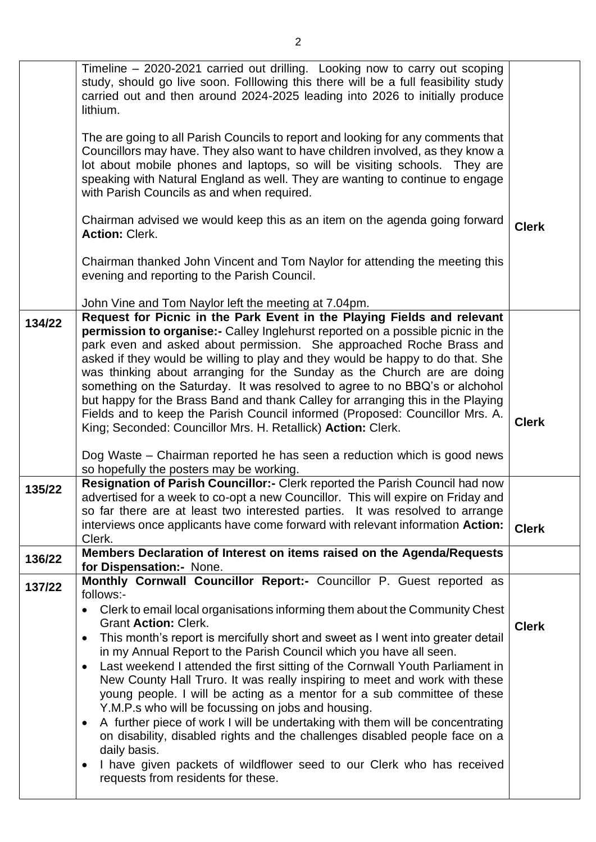|        | Timeline – 2020-2021 carried out drilling. Looking now to carry out scoping<br>study, should go live soon. Folllowing this there will be a full feasibility study<br>carried out and then around 2024-2025 leading into 2026 to initially produce<br>lithium.<br>The are going to all Parish Councils to report and looking for any comments that                                                                                                                                                                                                                                                                                                                                                                                                                                                                                                                                                         |              |
|--------|-----------------------------------------------------------------------------------------------------------------------------------------------------------------------------------------------------------------------------------------------------------------------------------------------------------------------------------------------------------------------------------------------------------------------------------------------------------------------------------------------------------------------------------------------------------------------------------------------------------------------------------------------------------------------------------------------------------------------------------------------------------------------------------------------------------------------------------------------------------------------------------------------------------|--------------|
|        | Councillors may have. They also want to have children involved, as they know a<br>lot about mobile phones and laptops, so will be visiting schools. They are<br>speaking with Natural England as well. They are wanting to continue to engage<br>with Parish Councils as and when required.                                                                                                                                                                                                                                                                                                                                                                                                                                                                                                                                                                                                               |              |
|        | Chairman advised we would keep this as an item on the agenda going forward<br><b>Action: Clerk.</b>                                                                                                                                                                                                                                                                                                                                                                                                                                                                                                                                                                                                                                                                                                                                                                                                       | <b>Clerk</b> |
|        | Chairman thanked John Vincent and Tom Naylor for attending the meeting this<br>evening and reporting to the Parish Council.                                                                                                                                                                                                                                                                                                                                                                                                                                                                                                                                                                                                                                                                                                                                                                               |              |
|        | John Vine and Tom Naylor left the meeting at 7.04pm.                                                                                                                                                                                                                                                                                                                                                                                                                                                                                                                                                                                                                                                                                                                                                                                                                                                      |              |
| 134/22 | Request for Picnic in the Park Event in the Playing Fields and relevant<br><b>permission to organise:-</b> Calley Inglehurst reported on a possible picnic in the<br>park even and asked about permission. She approached Roche Brass and<br>asked if they would be willing to play and they would be happy to do that. She<br>was thinking about arranging for the Sunday as the Church are are doing<br>something on the Saturday. It was resolved to agree to no BBQ's or alchohol<br>but happy for the Brass Band and thank Calley for arranging this in the Playing<br>Fields and to keep the Parish Council informed (Proposed: Councillor Mrs. A.<br>King; Seconded: Councillor Mrs. H. Retallick) Action: Clerk.                                                                                                                                                                                  | <b>Clerk</b> |
|        | Dog Waste – Chairman reported he has seen a reduction which is good news<br>so hopefully the posters may be working.                                                                                                                                                                                                                                                                                                                                                                                                                                                                                                                                                                                                                                                                                                                                                                                      |              |
| 135/22 | Resignation of Parish Councillor:- Clerk reported the Parish Council had now<br>advertised for a week to co-opt a new Councillor. This will expire on Friday and<br>so far there are at least two interested parties. It was resolved to arrange<br>interviews once applicants have come forward with relevant information Action:<br>Clerk.                                                                                                                                                                                                                                                                                                                                                                                                                                                                                                                                                              | <b>Clerk</b> |
| 136/22 | Members Declaration of Interest on items raised on the Agenda/Requests<br>for Dispensation:- None.                                                                                                                                                                                                                                                                                                                                                                                                                                                                                                                                                                                                                                                                                                                                                                                                        |              |
| 137/22 | Monthly Cornwall Councillor Report:- Councillor P. Guest reported as                                                                                                                                                                                                                                                                                                                                                                                                                                                                                                                                                                                                                                                                                                                                                                                                                                      |              |
|        | follows:-<br>Clerk to email local organisations informing them about the Community Chest<br><b>Grant Action: Clerk.</b><br>This month's report is mercifully short and sweet as I went into greater detail<br>$\bullet$<br>in my Annual Report to the Parish Council which you have all seen.<br>Last weekend I attended the first sitting of the Cornwall Youth Parliament in<br>New County Hall Truro. It was really inspiring to meet and work with these<br>young people. I will be acting as a mentor for a sub committee of these<br>Y.M.P.s who will be focussing on jobs and housing.<br>A further piece of work I will be undertaking with them will be concentrating<br>$\bullet$<br>on disability, disabled rights and the challenges disabled people face on a<br>daily basis.<br>I have given packets of wildflower seed to our Clerk who has received<br>requests from residents for these. | <b>Clerk</b> |
|        |                                                                                                                                                                                                                                                                                                                                                                                                                                                                                                                                                                                                                                                                                                                                                                                                                                                                                                           |              |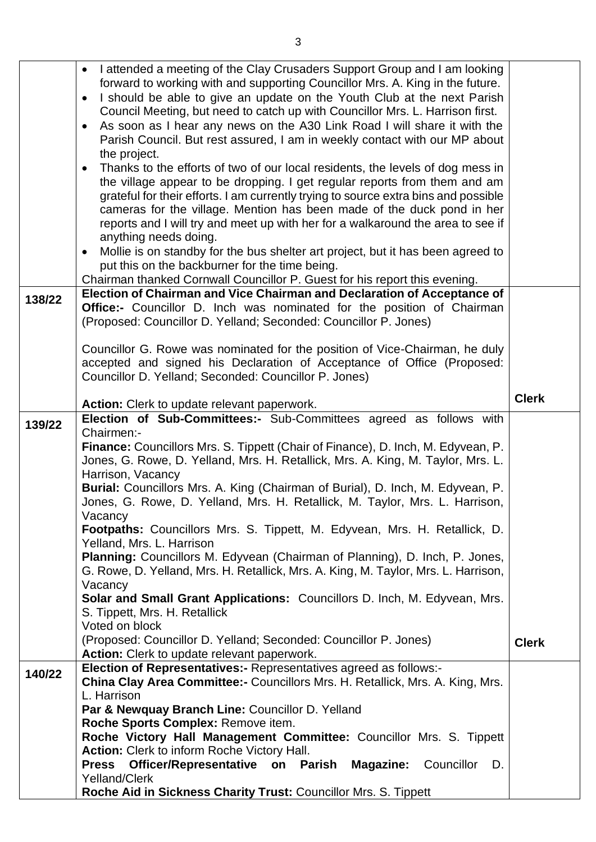|        | I attended a meeting of the Clay Crusaders Support Group and I am looking<br>$\bullet$                                                                                   |              |
|--------|--------------------------------------------------------------------------------------------------------------------------------------------------------------------------|--------------|
|        | forward to working with and supporting Councillor Mrs. A. King in the future.                                                                                            |              |
|        | I should be able to give an update on the Youth Club at the next Parish<br>$\bullet$                                                                                     |              |
|        | Council Meeting, but need to catch up with Councillor Mrs. L. Harrison first.                                                                                            |              |
|        | As soon as I hear any news on the A30 Link Road I will share it with the<br>$\bullet$                                                                                    |              |
|        | Parish Council. But rest assured, I am in weekly contact with our MP about                                                                                               |              |
|        | the project.                                                                                                                                                             |              |
|        | Thanks to the efforts of two of our local residents, the levels of dog mess in<br>$\bullet$<br>the village appear to be dropping. I get regular reports from them and am |              |
|        | grateful for their efforts. I am currently trying to source extra bins and possible                                                                                      |              |
|        | cameras for the village. Mention has been made of the duck pond in her                                                                                                   |              |
|        | reports and I will try and meet up with her for a walkaround the area to see if                                                                                          |              |
|        | anything needs doing.                                                                                                                                                    |              |
|        | Mollie is on standby for the bus shelter art project, but it has been agreed to<br>$\bullet$                                                                             |              |
|        | put this on the backburner for the time being.                                                                                                                           |              |
|        | Chairman thanked Cornwall Councillor P. Guest for his report this evening.                                                                                               |              |
| 138/22 | Election of Chairman and Vice Chairman and Declaration of Acceptance of                                                                                                  |              |
|        | Office:- Councillor D. Inch was nominated for the position of Chairman                                                                                                   |              |
|        | (Proposed: Councillor D. Yelland; Seconded: Councillor P. Jones)                                                                                                         |              |
|        |                                                                                                                                                                          |              |
|        | Councillor G. Rowe was nominated for the position of Vice-Chairman, he duly                                                                                              |              |
|        | accepted and signed his Declaration of Acceptance of Office (Proposed:                                                                                                   |              |
|        | Councillor D. Yelland; Seconded: Councillor P. Jones)                                                                                                                    |              |
|        |                                                                                                                                                                          | <b>Clerk</b> |
|        | Action: Clerk to update relevant paperwork.<br>Election of Sub-Committees:- Sub-Committees agreed as follows with                                                        |              |
| 139/22 | Chairmen:-                                                                                                                                                               |              |
|        | Finance: Councillors Mrs. S. Tippett (Chair of Finance), D. Inch, M. Edyvean, P.                                                                                         |              |
|        | Jones, G. Rowe, D. Yelland, Mrs. H. Retallick, Mrs. A. King, M. Taylor, Mrs. L.                                                                                          |              |
|        | Harrison, Vacancy                                                                                                                                                        |              |
|        | Burial: Councillors Mrs. A. King (Chairman of Burial), D. Inch, M. Edyvean, P.                                                                                           |              |
|        | Jones, G. Rowe, D. Yelland, Mrs. H. Retallick, M. Taylor, Mrs. L. Harrison,                                                                                              |              |
|        | Vacancy                                                                                                                                                                  |              |
|        | <b>Footpaths:</b> Councillors Mrs. S. Tippett, M. Edyvean, Mrs. H. Retallick, D.                                                                                         |              |
|        | Yelland, Mrs. L. Harrison                                                                                                                                                |              |
|        | Planning: Councillors M. Edyvean (Chairman of Planning), D. Inch, P. Jones,                                                                                              |              |
|        | G. Rowe, D. Yelland, Mrs. H. Retallick, Mrs. A. King, M. Taylor, Mrs. L. Harrison,                                                                                       |              |
|        | Vacancy                                                                                                                                                                  |              |
|        | Solar and Small Grant Applications: Councillors D. Inch, M. Edyvean, Mrs.<br>S. Tippett, Mrs. H. Retallick                                                               |              |
|        | Voted on block                                                                                                                                                           |              |
|        | (Proposed: Councillor D. Yelland; Seconded: Councillor P. Jones)                                                                                                         | <b>Clerk</b> |
|        | <b>Action:</b> Clerk to update relevant paperwork.                                                                                                                       |              |
|        | Election of Representatives:- Representatives agreed as follows:-                                                                                                        |              |
| 140/22 | <b>China Clay Area Committee:-</b> Councillors Mrs. H. Retallick, Mrs. A. King, Mrs.                                                                                     |              |
|        | L. Harrison                                                                                                                                                              |              |
|        | Par & Newquay Branch Line: Councillor D. Yelland                                                                                                                         |              |
|        | Roche Sports Complex: Remove item.                                                                                                                                       |              |
|        | Roche Victory Hall Management Committee: Councillor Mrs. S. Tippett                                                                                                      |              |
|        | Action: Clerk to inform Roche Victory Hall.                                                                                                                              |              |
|        | Officer/Representative on Parish<br><b>Magazine: Councillor</b><br><b>Press</b><br>D.                                                                                    |              |
|        | Yelland/Clerk                                                                                                                                                            |              |
|        | Roche Aid in Sickness Charity Trust: Councillor Mrs. S. Tippett                                                                                                          |              |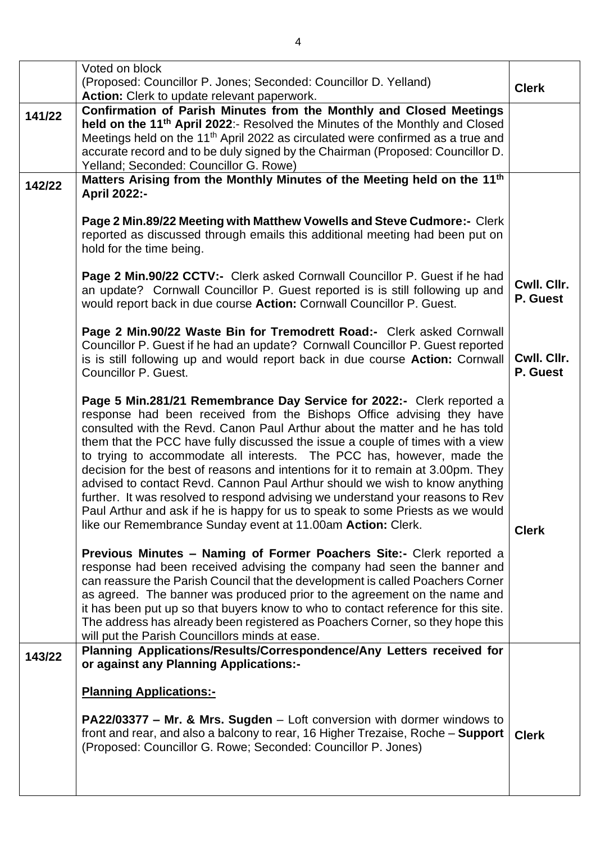|        | Voted on block<br>(Proposed: Councillor P. Jones; Seconded: Councillor D. Yelland)<br>Action: Clerk to update relevant paperwork.                                                                                                                                                                                                                                                                                                                                                                                                                                                                                                                                                                                                                                                               | <b>Clerk</b>            |
|--------|-------------------------------------------------------------------------------------------------------------------------------------------------------------------------------------------------------------------------------------------------------------------------------------------------------------------------------------------------------------------------------------------------------------------------------------------------------------------------------------------------------------------------------------------------------------------------------------------------------------------------------------------------------------------------------------------------------------------------------------------------------------------------------------------------|-------------------------|
| 141/22 | Confirmation of Parish Minutes from the Monthly and Closed Meetings<br>held on the 11 <sup>th</sup> April 2022:- Resolved the Minutes of the Monthly and Closed<br>Meetings held on the 11 <sup>th</sup> April 2022 as circulated were confirmed as a true and<br>accurate record and to be duly signed by the Chairman (Proposed: Councillor D.<br>Yelland; Seconded: Councillor G. Rowe)                                                                                                                                                                                                                                                                                                                                                                                                      |                         |
| 142/22 | Matters Arising from the Monthly Minutes of the Meeting held on the 11 <sup>th</sup><br><b>April 2022:-</b>                                                                                                                                                                                                                                                                                                                                                                                                                                                                                                                                                                                                                                                                                     |                         |
|        | Page 2 Min.89/22 Meeting with Matthew Vowells and Steve Cudmore:- Clerk<br>reported as discussed through emails this additional meeting had been put on<br>hold for the time being.                                                                                                                                                                                                                                                                                                                                                                                                                                                                                                                                                                                                             |                         |
|        | Page 2 Min.90/22 CCTV:- Clerk asked Cornwall Councillor P. Guest if he had<br>an update? Cornwall Councillor P. Guest reported is is still following up and<br>would report back in due course Action: Cornwall Councillor P. Guest.                                                                                                                                                                                                                                                                                                                                                                                                                                                                                                                                                            | Cwll. Cllr.<br>P. Guest |
|        | Page 2 Min.90/22 Waste Bin for Tremodrett Road:- Clerk asked Cornwall<br>Councillor P. Guest if he had an update? Cornwall Councillor P. Guest reported<br>is is still following up and would report back in due course Action: Cornwall<br>Councillor P. Guest.                                                                                                                                                                                                                                                                                                                                                                                                                                                                                                                                | Cwll. Cllr.<br>P. Guest |
|        | Page 5 Min.281/21 Remembrance Day Service for 2022:- Clerk reported a<br>response had been received from the Bishops Office advising they have<br>consulted with the Revd. Canon Paul Arthur about the matter and he has told<br>them that the PCC have fully discussed the issue a couple of times with a view<br>to trying to accommodate all interests. The PCC has, however, made the<br>decision for the best of reasons and intentions for it to remain at 3.00pm. They<br>advised to contact Revd. Cannon Paul Arthur should we wish to know anything<br>further. It was resolved to respond advising we understand your reasons to Rev<br>Paul Arthur and ask if he is happy for us to speak to some Priests as we would<br>like our Remembrance Sunday event at 11.00am Action: Clerk. | <b>Clerk</b>            |
|        | Previous Minutes - Naming of Former Poachers Site:- Clerk reported a<br>response had been received advising the company had seen the banner and<br>can reassure the Parish Council that the development is called Poachers Corner<br>as agreed. The banner was produced prior to the agreement on the name and<br>it has been put up so that buyers know to who to contact reference for this site.<br>The address has already been registered as Poachers Corner, so they hope this<br>will put the Parish Councillors minds at ease.                                                                                                                                                                                                                                                          |                         |
| 143/22 | Planning Applications/Results/Correspondence/Any Letters received for<br>or against any Planning Applications:-                                                                                                                                                                                                                                                                                                                                                                                                                                                                                                                                                                                                                                                                                 |                         |
|        | <b>Planning Applications:-</b><br><b>PA22/03377 – Mr. &amp; Mrs. Sugden</b> – Loft conversion with dormer windows to<br>front and rear, and also a balcony to rear, 16 Higher Trezaise, Roche - Support<br>(Proposed: Councillor G. Rowe; Seconded: Councillor P. Jones)                                                                                                                                                                                                                                                                                                                                                                                                                                                                                                                        | <b>Clerk</b>            |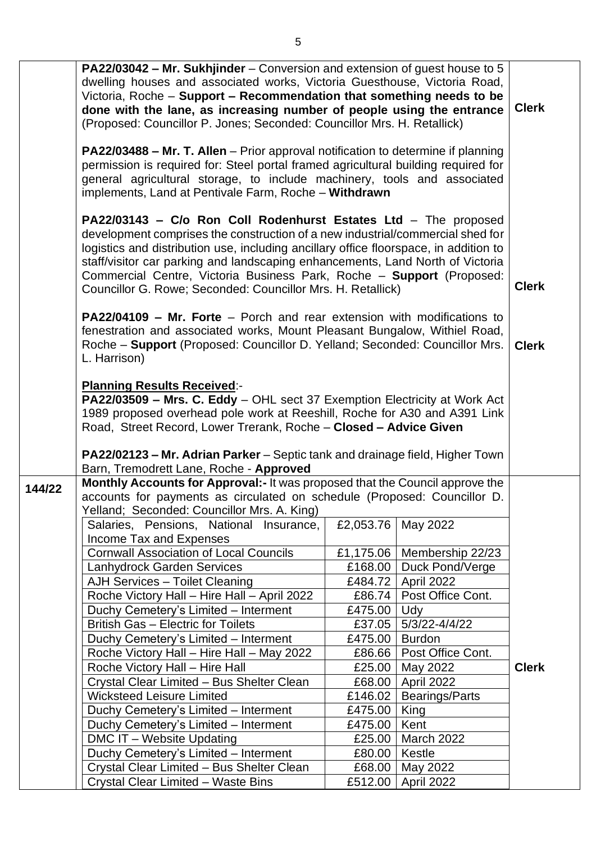|        | PA22/03042 - Mr. Sukhjinder - Conversion and extension of guest house to 5<br>dwelling houses and associated works, Victoria Guesthouse, Victoria Road,<br>Victoria, Roche - Support - Recommendation that something needs to be<br>done with the lane, as increasing number of people using the entrance<br>(Proposed: Councillor P. Jones; Seconded: Councillor Mrs. H. Retallick)                                                                                 |                   |                                     | <b>Clerk</b> |
|--------|----------------------------------------------------------------------------------------------------------------------------------------------------------------------------------------------------------------------------------------------------------------------------------------------------------------------------------------------------------------------------------------------------------------------------------------------------------------------|-------------------|-------------------------------------|--------------|
|        | PA22/03488 - Mr. T. Allen - Prior approval notification to determine if planning<br>permission is required for: Steel portal framed agricultural building required for<br>general agricultural storage, to include machinery, tools and associated<br>implements, Land at Pentivale Farm, Roche - Withdrawn                                                                                                                                                          |                   |                                     |              |
|        | PA22/03143 - C/o Ron Coll Rodenhurst Estates Ltd - The proposed<br>development comprises the construction of a new industrial/commercial shed for<br>logistics and distribution use, including ancillary office floorspace, in addition to<br>staff/visitor car parking and landscaping enhancements, Land North of Victoria<br>Commercial Centre, Victoria Business Park, Roche - Support (Proposed:<br>Councillor G. Rowe; Seconded: Councillor Mrs. H. Retallick) |                   |                                     | <b>Clerk</b> |
|        | <b>PA22/04109 - Mr. Forte</b> - Porch and rear extension with modifications to<br>fenestration and associated works, Mount Pleasant Bungalow, Withiel Road,<br>Roche - Support (Proposed: Councillor D. Yelland; Seconded: Councillor Mrs.<br>L. Harrison)                                                                                                                                                                                                           |                   |                                     | <b>Clerk</b> |
|        | <b>Planning Results Received:-</b><br><b>PA22/03509 - Mrs. C. Eddy</b> - OHL sect 37 Exemption Electricity at Work Act<br>1989 proposed overhead pole work at Reeshill, Roche for A30 and A391 Link<br>Road, Street Record, Lower Trerank, Roche - Closed - Advice Given                                                                                                                                                                                             |                   |                                     |              |
|        | <b>PA22/02123 – Mr. Adrian Parker</b> – Septic tank and drainage field, Higher Town                                                                                                                                                                                                                                                                                                                                                                                  |                   |                                     |              |
|        | Barn, Tremodrett Lane, Roche - Approved                                                                                                                                                                                                                                                                                                                                                                                                                              |                   |                                     |              |
| 144/22 | Monthly Accounts for Approval:- It was proposed that the Council approve the<br>accounts for payments as circulated on schedule (Proposed: Councillor D.                                                                                                                                                                                                                                                                                                             |                   |                                     |              |
|        | Yelland; Seconded: Councillor Mrs. A. King)                                                                                                                                                                                                                                                                                                                                                                                                                          |                   |                                     |              |
|        | Salaries, Pensions, National Insurance,<br>Income Tax and Expenses                                                                                                                                                                                                                                                                                                                                                                                                   | £2,053.76         | May 2022                            |              |
|        | <b>Cornwall Association of Local Councils</b>                                                                                                                                                                                                                                                                                                                                                                                                                        |                   | £1,175.06   Membership 22/23        |              |
|        | Lanhydrock Garden Services                                                                                                                                                                                                                                                                                                                                                                                                                                           | £168.00           | Duck Pond/Verge                     |              |
|        | <b>AJH Services - Toilet Cleaning</b>                                                                                                                                                                                                                                                                                                                                                                                                                                | £484.72           | April 2022                          |              |
|        | Roche Victory Hall - Hire Hall - April 2022                                                                                                                                                                                                                                                                                                                                                                                                                          | £86.74            | Post Office Cont.                   |              |
|        | Duchy Cemetery's Limited - Interment                                                                                                                                                                                                                                                                                                                                                                                                                                 | £475.00           | Udy                                 |              |
|        | British Gas - Electric for Toilets                                                                                                                                                                                                                                                                                                                                                                                                                                   | £37.05            | 5/3/22-4/4/22                       |              |
|        | Duchy Cemetery's Limited - Interment                                                                                                                                                                                                                                                                                                                                                                                                                                 | £475.00           | <b>Burdon</b>                       |              |
|        | Roche Victory Hall - Hire Hall - May 2022                                                                                                                                                                                                                                                                                                                                                                                                                            | £86.66            | Post Office Cont.                   |              |
|        | Roche Victory Hall - Hire Hall                                                                                                                                                                                                                                                                                                                                                                                                                                       | £25.00            | May 2022                            | <b>Clerk</b> |
|        | Crystal Clear Limited - Bus Shelter Clean<br><b>Wicksteed Leisure Limited</b>                                                                                                                                                                                                                                                                                                                                                                                        | £68.00<br>£146.02 | April 2022<br><b>Bearings/Parts</b> |              |
|        | Duchy Cemetery's Limited - Interment                                                                                                                                                                                                                                                                                                                                                                                                                                 | £475.00           | King                                |              |
|        | Duchy Cemetery's Limited - Interment                                                                                                                                                                                                                                                                                                                                                                                                                                 | £475.00           | Kent                                |              |
|        | DMC IT - Website Updating                                                                                                                                                                                                                                                                                                                                                                                                                                            | £25.00            | March 2022                          |              |
|        | Duchy Cemetery's Limited - Interment                                                                                                                                                                                                                                                                                                                                                                                                                                 | £80.00            | Kestle                              |              |
|        | Crystal Clear Limited - Bus Shelter Clean                                                                                                                                                                                                                                                                                                                                                                                                                            | £68.00            | May 2022                            |              |
|        | Crystal Clear Limited - Waste Bins                                                                                                                                                                                                                                                                                                                                                                                                                                   | £512.00           | April 2022                          |              |
|        |                                                                                                                                                                                                                                                                                                                                                                                                                                                                      |                   |                                     |              |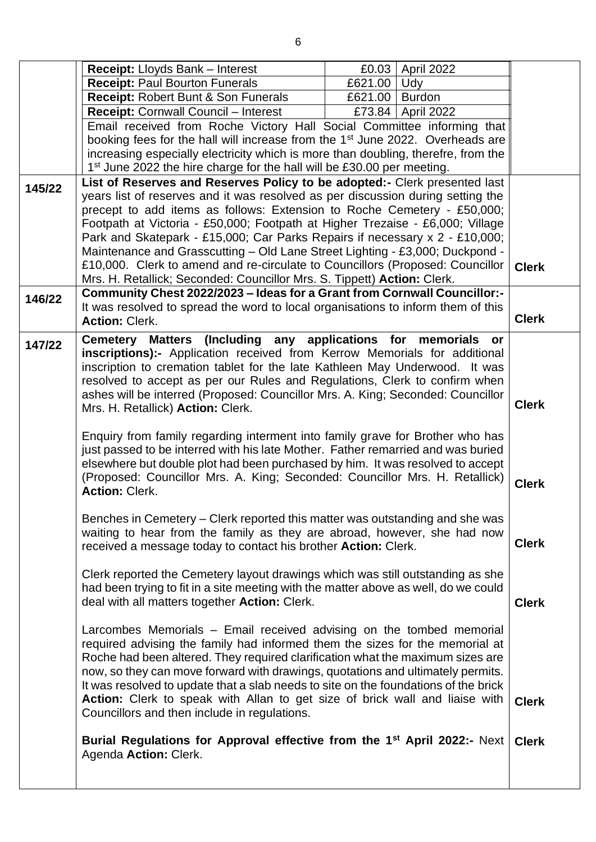|        | <b>Receipt:</b> Lloyds Bank - Interest                                                                                                                                                                                                              |                     | £0.03 April 2022    |              |
|--------|-----------------------------------------------------------------------------------------------------------------------------------------------------------------------------------------------------------------------------------------------------|---------------------|---------------------|--------------|
|        | <b>Receipt: Paul Bourton Funerals</b>                                                                                                                                                                                                               | £621.00 $\vert$ Udy |                     |              |
|        | Receipt: Robert Bunt & Son Funerals                                                                                                                                                                                                                 | £621.00   Burdon    |                     |              |
|        | <b>Receipt: Cornwall Council - Interest</b>                                                                                                                                                                                                         |                     | £73.84   April 2022 |              |
|        | Email received from Roche Victory Hall Social Committee informing that                                                                                                                                                                              |                     |                     |              |
|        | booking fees for the hall will increase from the 1 <sup>st</sup> June 2022. Overheads are                                                                                                                                                           |                     |                     |              |
|        | increasing especially electricity which is more than doubling, therefre, from the                                                                                                                                                                   |                     |                     |              |
|        | 1 <sup>st</sup> June 2022 the hire charge for the hall will be £30.00 per meeting.                                                                                                                                                                  |                     |                     |              |
| 145/22 | List of Reserves and Reserves Policy to be adopted:- Clerk presented last                                                                                                                                                                           |                     |                     |              |
|        | years list of reserves and it was resolved as per discussion during setting the                                                                                                                                                                     |                     |                     |              |
|        | precept to add items as follows: Extension to Roche Cemetery - £50,000;                                                                                                                                                                             |                     |                     |              |
|        | Footpath at Victoria - £50,000; Footpath at Higher Trezaise - £6,000; Village                                                                                                                                                                       |                     |                     |              |
|        | Park and Skatepark - £15,000; Car Parks Repairs if necessary x 2 - £10,000;                                                                                                                                                                         |                     |                     |              |
|        | Maintenance and Grasscutting - Old Lane Street Lighting - £3,000; Duckpond -<br>£10,000. Clerk to amend and re-circulate to Councillors (Proposed: Councillor                                                                                       |                     |                     |              |
|        | Mrs. H. Retallick; Seconded: Councillor Mrs. S. Tippett) Action: Clerk.                                                                                                                                                                             |                     |                     | <b>Clerk</b> |
|        | Community Chest 2022/2023 - Ideas for a Grant from Cornwall Councillor:-                                                                                                                                                                            |                     |                     |              |
| 146/22 | It was resolved to spread the word to local organisations to inform them of this                                                                                                                                                                    |                     |                     |              |
|        | <b>Action: Clerk.</b>                                                                                                                                                                                                                               |                     |                     | <b>Clerk</b> |
|        |                                                                                                                                                                                                                                                     |                     |                     |              |
| 147/22 | Cemetery Matters (Including any applications for memorials or<br>inscriptions):- Application received from Kerrow Memorials for additional                                                                                                          |                     |                     |              |
|        | inscription to cremation tablet for the late Kathleen May Underwood. It was                                                                                                                                                                         |                     |                     |              |
|        | resolved to accept as per our Rules and Regulations, Clerk to confirm when                                                                                                                                                                          |                     |                     |              |
|        | ashes will be interred (Proposed: Councillor Mrs. A. King; Seconded: Councillor                                                                                                                                                                     |                     |                     | <b>Clerk</b> |
|        | Mrs. H. Retallick) Action: Clerk.                                                                                                                                                                                                                   |                     |                     |              |
|        | Enquiry from family regarding interment into family grave for Brother who has<br>just passed to be interred with his late Mother. Father remarried and was buried<br>elsewhere but double plot had been purchased by him. It was resolved to accept |                     |                     |              |
|        | (Proposed: Councillor Mrs. A. King; Seconded: Councillor Mrs. H. Retallick)<br><b>Action: Clerk.</b>                                                                                                                                                |                     |                     | <b>Clerk</b> |
|        | Benches in Cemetery – Clerk reported this matter was outstanding and she was                                                                                                                                                                        |                     |                     |              |
|        | waiting to hear from the family as they are abroad, however, she had now<br>received a message today to contact his brother Action: Clerk.                                                                                                          |                     |                     | <b>Clerk</b> |
|        |                                                                                                                                                                                                                                                     |                     |                     |              |
|        | Clerk reported the Cemetery layout drawings which was still outstanding as she<br>had been trying to fit in a site meeting with the matter above as well, do we could                                                                               |                     |                     |              |
|        | deal with all matters together Action: Clerk.                                                                                                                                                                                                       |                     |                     | <b>Clerk</b> |
|        |                                                                                                                                                                                                                                                     |                     |                     |              |
|        | Larcombes Memorials – Email received advising on the tombed memorial                                                                                                                                                                                |                     |                     |              |
|        | required advising the family had informed them the sizes for the memorial at                                                                                                                                                                        |                     |                     |              |
|        | Roche had been altered. They required clarification what the maximum sizes are                                                                                                                                                                      |                     |                     |              |
|        | now, so they can move forward with drawings, quotations and ultimately permits.                                                                                                                                                                     |                     |                     |              |
|        | It was resolved to update that a slab needs to site on the foundations of the brick                                                                                                                                                                 |                     |                     |              |
|        | Action: Clerk to speak with Allan to get size of brick wall and liaise with<br>Councillors and then include in regulations.                                                                                                                         |                     |                     | <b>Clerk</b> |
|        |                                                                                                                                                                                                                                                     |                     |                     |              |
|        | Burial Regulations for Approval effective from the 1 <sup>st</sup> April 2022:- Next<br>Agenda Action: Clerk.                                                                                                                                       |                     |                     | <b>Clerk</b> |
|        |                                                                                                                                                                                                                                                     |                     |                     |              |
|        |                                                                                                                                                                                                                                                     |                     |                     |              |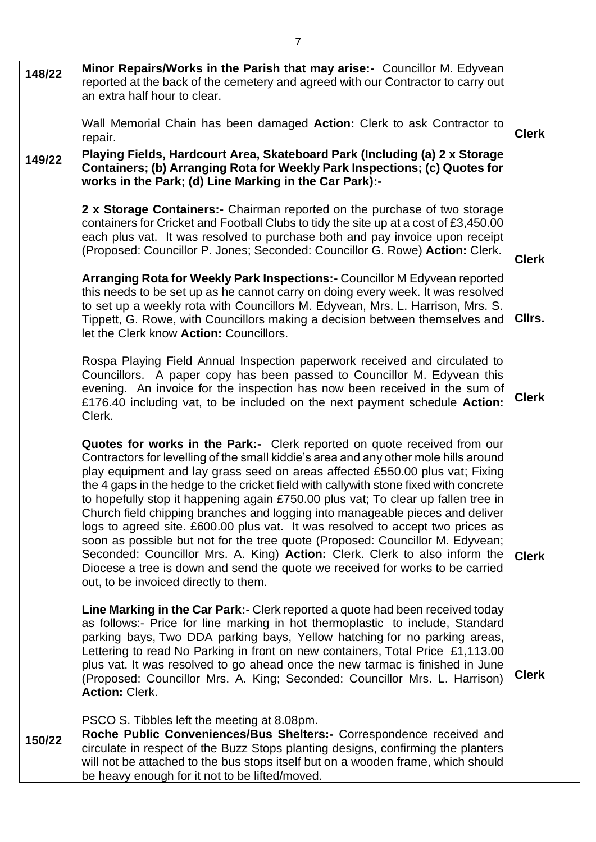| 148/22 | Minor Repairs/Works in the Parish that may arise:- Councillor M. Edyvean                                                                                                                                                                                                                                                                                                                                                                                                                                                                                                                                                                                                                                                                                                                                                                                                                   |              |
|--------|--------------------------------------------------------------------------------------------------------------------------------------------------------------------------------------------------------------------------------------------------------------------------------------------------------------------------------------------------------------------------------------------------------------------------------------------------------------------------------------------------------------------------------------------------------------------------------------------------------------------------------------------------------------------------------------------------------------------------------------------------------------------------------------------------------------------------------------------------------------------------------------------|--------------|
|        | reported at the back of the cemetery and agreed with our Contractor to carry out                                                                                                                                                                                                                                                                                                                                                                                                                                                                                                                                                                                                                                                                                                                                                                                                           |              |
|        | an extra half hour to clear.                                                                                                                                                                                                                                                                                                                                                                                                                                                                                                                                                                                                                                                                                                                                                                                                                                                               |              |
|        | Wall Memorial Chain has been damaged Action: Clerk to ask Contractor to<br>repair.                                                                                                                                                                                                                                                                                                                                                                                                                                                                                                                                                                                                                                                                                                                                                                                                         | <b>Clerk</b> |
| 149/22 | Playing Fields, Hardcourt Area, Skateboard Park (Including (a) 2 x Storage<br>Containers; (b) Arranging Rota for Weekly Park Inspections; (c) Quotes for<br>works in the Park; (d) Line Marking in the Car Park):-                                                                                                                                                                                                                                                                                                                                                                                                                                                                                                                                                                                                                                                                         |              |
|        | 2 x Storage Containers: - Chairman reported on the purchase of two storage<br>containers for Cricket and Football Clubs to tidy the site up at a cost of £3,450.00<br>each plus vat. It was resolved to purchase both and pay invoice upon receipt<br>(Proposed: Councillor P. Jones; Seconded: Councillor G. Rowe) Action: Clerk.                                                                                                                                                                                                                                                                                                                                                                                                                                                                                                                                                         | <b>Clerk</b> |
|        | Arranging Rota for Weekly Park Inspections: - Councillor M Edyvean reported<br>this needs to be set up as he cannot carry on doing every week. It was resolved<br>to set up a weekly rota with Councillors M. Edyvean, Mrs. L. Harrison, Mrs. S.<br>Tippett, G. Rowe, with Councillors making a decision between themselves and<br>let the Clerk know Action: Councillors.                                                                                                                                                                                                                                                                                                                                                                                                                                                                                                                 | Cllrs.       |
|        | Rospa Playing Field Annual Inspection paperwork received and circulated to<br>Councillors. A paper copy has been passed to Councillor M. Edyvean this<br>evening. An invoice for the inspection has now been received in the sum of<br>£176.40 including vat, to be included on the next payment schedule Action:<br>Clerk.                                                                                                                                                                                                                                                                                                                                                                                                                                                                                                                                                                | <b>Clerk</b> |
|        | Quotes for works in the Park:- Clerk reported on quote received from our<br>Contractors for levelling of the small kiddie's area and any other mole hills around<br>play equipment and lay grass seed on areas affected £550.00 plus vat; Fixing<br>the 4 gaps in the hedge to the cricket field with callywith stone fixed with concrete<br>to hopefully stop it happening again £750.00 plus vat; To clear up fallen tree in<br>Church field chipping branches and logging into manageable pieces and deliver<br>logs to agreed site. £600.00 plus vat. It was resolved to accept two prices as<br>soon as possible but not for the tree quote (Proposed: Councillor M. Edyvean;<br>Seconded: Councillor Mrs. A. King) Action: Clerk. Clerk to also inform the<br>Diocese a tree is down and send the quote we received for works to be carried<br>out, to be invoiced directly to them. | <b>Clerk</b> |
|        | Line Marking in the Car Park:- Clerk reported a quote had been received today<br>as follows:- Price for line marking in hot thermoplastic to include, Standard<br>parking bays, Two DDA parking bays, Yellow hatching for no parking areas,<br>Lettering to read No Parking in front on new containers, Total Price £1,113.00<br>plus vat. It was resolved to go ahead once the new tarmac is finished in June<br>(Proposed: Councillor Mrs. A. King; Seconded: Councillor Mrs. L. Harrison)<br><b>Action: Clerk.</b>                                                                                                                                                                                                                                                                                                                                                                      | <b>Clerk</b> |
|        | PSCO S. Tibbles left the meeting at 8.08pm.                                                                                                                                                                                                                                                                                                                                                                                                                                                                                                                                                                                                                                                                                                                                                                                                                                                |              |
| 150/22 | Roche Public Conveniences/Bus Shelters:- Correspondence received and<br>circulate in respect of the Buzz Stops planting designs, confirming the planters<br>will not be attached to the bus stops itself but on a wooden frame, which should<br>be heavy enough for it not to be lifted/moved.                                                                                                                                                                                                                                                                                                                                                                                                                                                                                                                                                                                             |              |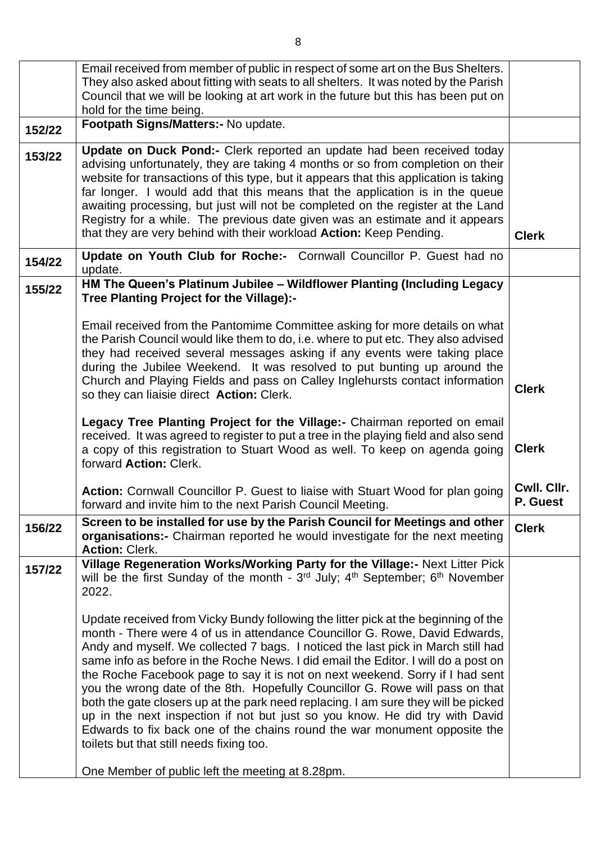|        | Email received from member of public in respect of some art on the Bus Shelters.<br>They also asked about fitting with seats to all shelters. It was noted by the Parish<br>Council that we will be looking at art work in the future but this has been put on<br>hold for the time being.                                                                                                                                                                                                                                                                                                                                                                                                                                                                                                                                                                       |                         |
|--------|------------------------------------------------------------------------------------------------------------------------------------------------------------------------------------------------------------------------------------------------------------------------------------------------------------------------------------------------------------------------------------------------------------------------------------------------------------------------------------------------------------------------------------------------------------------------------------------------------------------------------------------------------------------------------------------------------------------------------------------------------------------------------------------------------------------------------------------------------------------|-------------------------|
| 152/22 | Footpath Signs/Matters:- No update.                                                                                                                                                                                                                                                                                                                                                                                                                                                                                                                                                                                                                                                                                                                                                                                                                              |                         |
| 153/22 | Update on Duck Pond:- Clerk reported an update had been received today<br>advising unfortunately, they are taking 4 months or so from completion on their<br>website for transactions of this type, but it appears that this application is taking<br>far longer. I would add that this means that the application is in the queue<br>awaiting processing, but just will not be completed on the register at the Land<br>Registry for a while. The previous date given was an estimate and it appears<br>that they are very behind with their workload <b>Action:</b> Keep Pending.                                                                                                                                                                                                                                                                              | <b>Clerk</b>            |
| 154/22 | Update on Youth Club for Roche:- Cornwall Councillor P. Guest had no<br>update.                                                                                                                                                                                                                                                                                                                                                                                                                                                                                                                                                                                                                                                                                                                                                                                  |                         |
| 155/22 | HM The Queen's Platinum Jubilee - Wildflower Planting (Including Legacy<br>Tree Planting Project for the Village):-                                                                                                                                                                                                                                                                                                                                                                                                                                                                                                                                                                                                                                                                                                                                              |                         |
|        | Email received from the Pantomime Committee asking for more details on what<br>the Parish Council would like them to do, i.e. where to put etc. They also advised<br>they had received several messages asking if any events were taking place<br>during the Jubilee Weekend. It was resolved to put bunting up around the<br>Church and Playing Fields and pass on Calley Inglehursts contact information<br>so they can liaisie direct Action: Clerk.                                                                                                                                                                                                                                                                                                                                                                                                          | <b>Clerk</b>            |
|        | Legacy Tree Planting Project for the Village: - Chairman reported on email<br>received. It was agreed to register to put a tree in the playing field and also send<br>a copy of this registration to Stuart Wood as well. To keep on agenda going<br>forward Action: Clerk.                                                                                                                                                                                                                                                                                                                                                                                                                                                                                                                                                                                      | <b>Clerk</b>            |
|        | Action: Cornwall Councillor P. Guest to liaise with Stuart Wood for plan going<br>forward and invite him to the next Parish Council Meeting.                                                                                                                                                                                                                                                                                                                                                                                                                                                                                                                                                                                                                                                                                                                     | Cwll. Cllr.<br>P. Guest |
| 156/22 | Screen to be installed for use by the Parish Council for Meetings and other<br>organisations:- Chairman reported he would investigate for the next meeting<br><b>Action: Clerk.</b>                                                                                                                                                                                                                                                                                                                                                                                                                                                                                                                                                                                                                                                                              | <b>Clerk</b>            |
| 157/22 | Village Regeneration Works/Working Party for the Village:- Next Litter Pick<br>will be the first Sunday of the month - 3 <sup>rd</sup> July; 4 <sup>th</sup> September; 6 <sup>th</sup> November<br>2022.                                                                                                                                                                                                                                                                                                                                                                                                                                                                                                                                                                                                                                                        |                         |
|        | Update received from Vicky Bundy following the litter pick at the beginning of the<br>month - There were 4 of us in attendance Councillor G. Rowe, David Edwards,<br>Andy and myself. We collected 7 bags. I noticed the last pick in March still had<br>same info as before in the Roche News. I did email the Editor. I will do a post on<br>the Roche Facebook page to say it is not on next weekend. Sorry if I had sent<br>you the wrong date of the 8th. Hopefully Councillor G. Rowe will pass on that<br>both the gate closers up at the park need replacing. I am sure they will be picked<br>up in the next inspection if not but just so you know. He did try with David<br>Edwards to fix back one of the chains round the war monument opposite the<br>toilets but that still needs fixing too.<br>One Member of public left the meeting at 8.28pm. |                         |
|        |                                                                                                                                                                                                                                                                                                                                                                                                                                                                                                                                                                                                                                                                                                                                                                                                                                                                  |                         |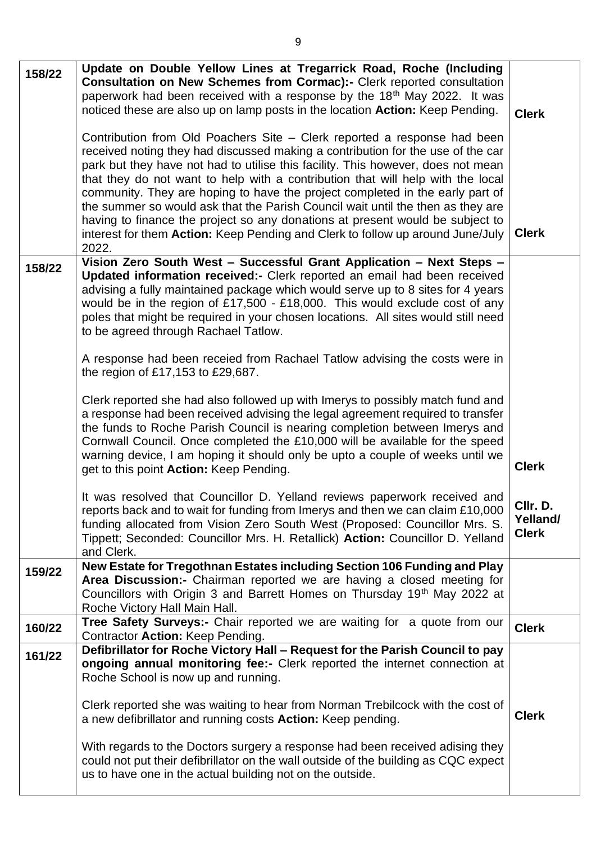| Vision Zero South West - Successful Grant Application - Next Steps -<br>158/22<br>Updated information received:- Clerk reported an email had been received<br>advising a fully maintained package which would serve up to 8 sites for 4 years<br>would be in the region of £17,500 - £18,000. This would exclude cost of any<br>poles that might be required in your chosen locations. All sites would still need<br>to be agreed through Rachael Tatlow.<br>A response had been receied from Rachael Tatlow advising the costs were in<br>the region of £17,153 to £29,687.<br>Clerk reported she had also followed up with Imerys to possibly match fund and<br>a response had been received advising the legal agreement required to transfer<br>the funds to Roche Parish Council is nearing completion between Imerys and<br>Cornwall Council. Once completed the £10,000 will be available for the speed<br>warning device, I am hoping it should only be upto a couple of weeks until we<br><b>Clerk</b><br>get to this point Action: Keep Pending. |  |
|------------------------------------------------------------------------------------------------------------------------------------------------------------------------------------------------------------------------------------------------------------------------------------------------------------------------------------------------------------------------------------------------------------------------------------------------------------------------------------------------------------------------------------------------------------------------------------------------------------------------------------------------------------------------------------------------------------------------------------------------------------------------------------------------------------------------------------------------------------------------------------------------------------------------------------------------------------------------------------------------------------------------------------------------------------|--|
|                                                                                                                                                                                                                                                                                                                                                                                                                                                                                                                                                                                                                                                                                                                                                                                                                                                                                                                                                                                                                                                            |  |
|                                                                                                                                                                                                                                                                                                                                                                                                                                                                                                                                                                                                                                                                                                                                                                                                                                                                                                                                                                                                                                                            |  |
| It was resolved that Councillor D. Yelland reviews paperwork received and<br>Cllr. D<br>reports back and to wait for funding from Imerys and then we can claim £10,000<br>Yelland/<br>funding allocated from Vision Zero South West (Proposed: Councillor Mrs. S.<br><b>Clerk</b><br>Tippett; Seconded: Councillor Mrs. H. Retallick) Action: Councillor D. Yelland<br>and Clerk.                                                                                                                                                                                                                                                                                                                                                                                                                                                                                                                                                                                                                                                                          |  |
| New Estate for Tregothnan Estates including Section 106 Funding and Play<br>159/22<br>Area Discussion:- Chairman reported we are having a closed meeting for<br>Councillors with Origin 3 and Barrett Homes on Thursday 19th May 2022 at<br>Roche Victory Hall Main Hall.                                                                                                                                                                                                                                                                                                                                                                                                                                                                                                                                                                                                                                                                                                                                                                                  |  |
| Tree Safety Surveys:- Chair reported we are waiting for a quote from our<br>160/22<br><b>Clerk</b><br>Contractor Action: Keep Pending.                                                                                                                                                                                                                                                                                                                                                                                                                                                                                                                                                                                                                                                                                                                                                                                                                                                                                                                     |  |
| Defibrillator for Roche Victory Hall - Request for the Parish Council to pay<br>161/22<br>ongoing annual monitoring fee:- Clerk reported the internet connection at<br>Roche School is now up and running.<br>Clerk reported she was waiting to hear from Norman Trebilcock with the cost of<br><b>Clerk</b><br>a new defibrillator and running costs Action: Keep pending.<br>With regards to the Doctors surgery a response had been received adising they<br>could not put their defibrillator on the wall outside of the building as CQC expect<br>us to have one in the actual building not on the outside.                                                                                                                                                                                                                                                                                                                                                                                                                                           |  |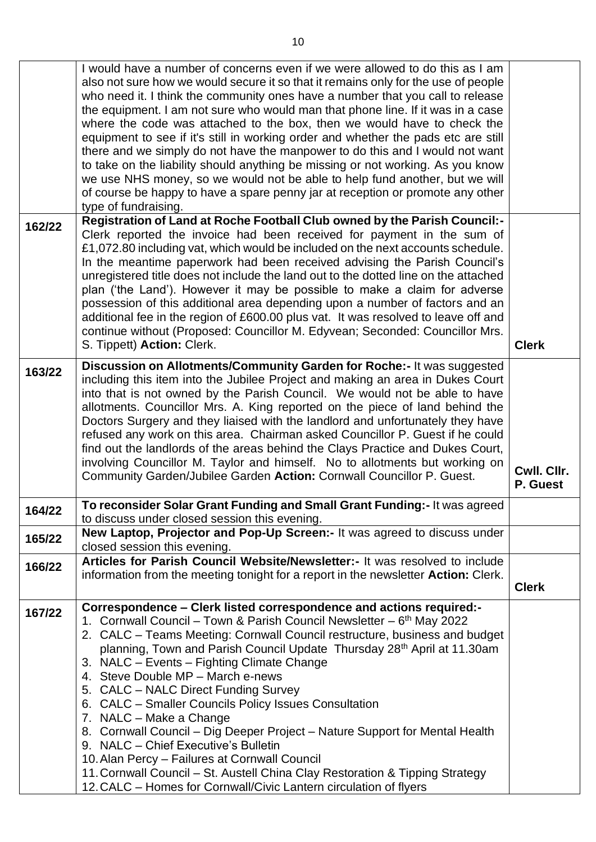|        | I would have a number of concerns even if we were allowed to do this as I am<br>also not sure how we would secure it so that it remains only for the use of people<br>who need it. I think the community ones have a number that you call to release<br>the equipment. I am not sure who would man that phone line. If it was in a case<br>where the code was attached to the box, then we would have to check the<br>equipment to see if it's still in working order and whether the pads etc are still<br>there and we simply do not have the manpower to do this and I would not want<br>to take on the liability should anything be missing or not working. As you know<br>we use NHS money, so we would not be able to help fund another, but we will<br>of course be happy to have a spare penny jar at reception or promote any other<br>type of fundraising.      |                         |
|--------|---------------------------------------------------------------------------------------------------------------------------------------------------------------------------------------------------------------------------------------------------------------------------------------------------------------------------------------------------------------------------------------------------------------------------------------------------------------------------------------------------------------------------------------------------------------------------------------------------------------------------------------------------------------------------------------------------------------------------------------------------------------------------------------------------------------------------------------------------------------------------|-------------------------|
| 162/22 | Registration of Land at Roche Football Club owned by the Parish Council:-<br>Clerk reported the invoice had been received for payment in the sum of<br>£1,072.80 including vat, which would be included on the next accounts schedule.<br>In the meantime paperwork had been received advising the Parish Council's<br>unregistered title does not include the land out to the dotted line on the attached<br>plan ('the Land'). However it may be possible to make a claim for adverse<br>possession of this additional area depending upon a number of factors and an<br>additional fee in the region of £600.00 plus vat. It was resolved to leave off and<br>continue without (Proposed: Councillor M. Edyvean; Seconded: Councillor Mrs.                                                                                                                             |                         |
|        | S. Tippett) Action: Clerk.                                                                                                                                                                                                                                                                                                                                                                                                                                                                                                                                                                                                                                                                                                                                                                                                                                                | <b>Clerk</b>            |
| 163/22 | Discussion on Allotments/Community Garden for Roche:- It was suggested<br>including this item into the Jubilee Project and making an area in Dukes Court<br>into that is not owned by the Parish Council. We would not be able to have<br>allotments. Councillor Mrs. A. King reported on the piece of land behind the<br>Doctors Surgery and they liaised with the landlord and unfortunately they have<br>refused any work on this area. Chairman asked Councillor P. Guest if he could<br>find out the landlords of the areas behind the Clays Practice and Dukes Court,<br>involving Councillor M. Taylor and himself. No to allotments but working on<br>Community Garden/Jubilee Garden Action: Cornwall Councillor P. Guest.                                                                                                                                       | Cwll. Cllr.<br>P. Guest |
| 164/22 | To reconsider Solar Grant Funding and Small Grant Funding: - It was agreed<br>to discuss under closed session this evening.                                                                                                                                                                                                                                                                                                                                                                                                                                                                                                                                                                                                                                                                                                                                               |                         |
| 165/22 | New Laptop, Projector and Pop-Up Screen:- It was agreed to discuss under<br>closed session this evening.                                                                                                                                                                                                                                                                                                                                                                                                                                                                                                                                                                                                                                                                                                                                                                  |                         |
| 166/22 | Articles for Parish Council Website/Newsletter:- It was resolved to include<br>information from the meeting tonight for a report in the newsletter <b>Action:</b> Clerk.                                                                                                                                                                                                                                                                                                                                                                                                                                                                                                                                                                                                                                                                                                  | <b>Clerk</b>            |
| 167/22 | Correspondence – Clerk listed correspondence and actions required:-<br>1. Cornwall Council – Town & Parish Council Newsletter – 6 <sup>th</sup> May 2022<br>2. CALC – Teams Meeting: Cornwall Council restructure, business and budget<br>planning, Town and Parish Council Update Thursday 28 <sup>th</sup> April at 11.30am<br>3. NALC - Events - Fighting Climate Change<br>4. Steve Double MP - March e-news<br>5. CALC - NALC Direct Funding Survey<br>6. CALC - Smaller Councils Policy Issues Consultation<br>7. NALC - Make a Change<br>8. Cornwall Council - Dig Deeper Project - Nature Support for Mental Health<br>9. NALC - Chief Executive's Bulletin<br>10. Alan Percy - Failures at Cornwall Council<br>11. Cornwall Council – St. Austell China Clay Restoration & Tipping Strategy<br>12. CALC – Homes for Cornwall/Civic Lantern circulation of flyers |                         |